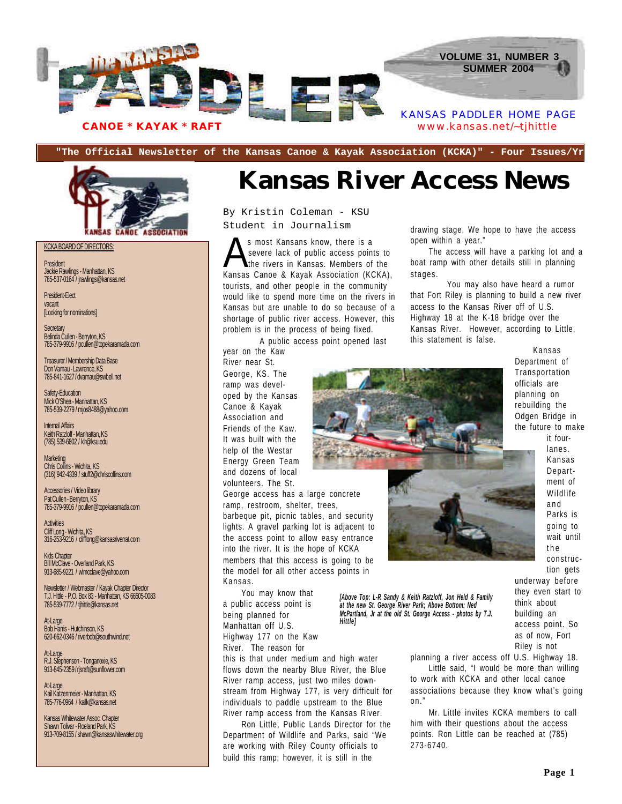

**"The Official Newsletter of the Kansas Canoe & Kayak Association (KCKA)" - Four Issues/Yr**



KCKA BOARD OF DIRECTORS:

**President** Jackie Rawlings - Manhattan, KS 785-537-0164 / jrawlings@kansas.net

President-Elect vacant [Looking for nominations]

**Secretary** Belinda Cullen - Berryton, KS 785-379-9916 / pcullen@topekaramada.com

Treasurer / Membership Data Base Don Varnau - Lawrence, KS 785-841-1627 / dvarnau@swbell.net

Safety-Education Mick O'Shea - Manhattan, KS 785-539-2279 / mjos8488@yahoo.com

Internal Affairs Keith Ratzloff - Manhattan, KS (785) 539-6802 / klr@ksu.edu

Marketing Chris Collins - Wichita, KS (316) 942-4339 / stuff2@chriscollins.com

Accessories / Video library Pat Cullen - Berryton, KS 785-379-9916 / pcullen@topekaramada.com

**Activities** Cliff Long - Wichita, KS 316-253-9216 / clifflong@kansasriverrat.com

Kids Chapter Bill McClave - Overland Park, KS 913-685-9221 / wlmcclave@yahoo.com

Newsletter / Webmaster / Kayak Chapter Director T.J. Hittle - P.O. Box 83 - Manhattan, KS 66505-0083 785-539-7772 / tjhittle@kansas.net

At-Large Bob Harris - Hutchinson, KS 620-662-0346 / riverbob@southwind.net

At-Large R.J. Stephenson - Tonganoxie, KS 913-845-2359 / rjsraft@sunflower.com

At-Large Kail Katzenmeier - Manhattan, KS 785-776-0964 / kailk@kansas.net

Kansas Whitewater Assoc. Chapter Shawn Tolivar - Roeland Park, KS 913-709-8155 / shawn@kansaswhitewater.org

### **Kansas River Access News**

By Kristin Coleman - KSU Student in Journalism

S most Kansans know, there is a<br>severe lack of public access points to<br>Kansas Canoe & Kayak Association (KCKA), s most Kansans know, there is a severe lack of public access points to the rivers in Kansas. Members of the tourists, and other people in the community would like to spend more time on the rivers in Kansas but are unable to do so because of a shortage of public river access. However, this problem is in the process of being fixed.

A public access point opened last

year on the Kaw River near St. George, KS. The ramp was developed by the Kansas Canoe & Kayak Association and Friends of the Kaw. It was built with the help of the Westar Energy Green Team and dozens of local volunteers. The St.

George access has a large concrete ramp, restroom, shelter, trees, barbeque pit, picnic tables, and security lights. A gravel parking lot is adjacent to the access point to allow easy entrance into the river. It is the hope of KCKA members that this access is going to be the model for all other access points in Kansas.

You may know that a public access point is being planned for Manhattan off U.S. Highway 177 on the Kaw River. The reason for

this is that under medium and high water flows down the nearby Blue River, the Blue River ramp access, just two miles downstream from Highway 177, is very difficult for individuals to paddle upstream to the Blue River ramp access from the Kansas River.

Ron Little, Public Lands Director for the Department of Wildlife and Parks, said "We are working with Riley County officials to build this ramp; however, it is still in the

drawing stage. We hope to have the access open within a year."

The access will have a parking lot and a boat ramp with other details still in planning stages.

You may also have heard a rumor that Fort Riley is planning to build a new river access to the Kansas River off of U.S. Highway 18 at the K-18 bridge over the Kansas River. However, according to Little, this statement is false.



*[Above Top: L-R Sandy & Keith Ratzloff, Jon Held & Family at the new St. George River Park; Above Bottom: Ned McPartland, Jr at the old St. George Access - photos by T.J. Hittle]*

Kansas Department of Transportation officials are planning on rebuilding the Odgen Bridge in the future to make

> it fourlanes. Kansas Department of Wildlife and Parks is going to wait until the construction gets

underway before they even start to think about building an access point. So as of now, Fort Riley is not

planning a river access off U.S. Highway 18. Little said, "I would be more than willing to work with KCKA and other local canoe associations because they know what's going on."

Mr. Little invites KCKA members to call him with their questions about the access points. Ron Little can be reached at (785) 273-6740.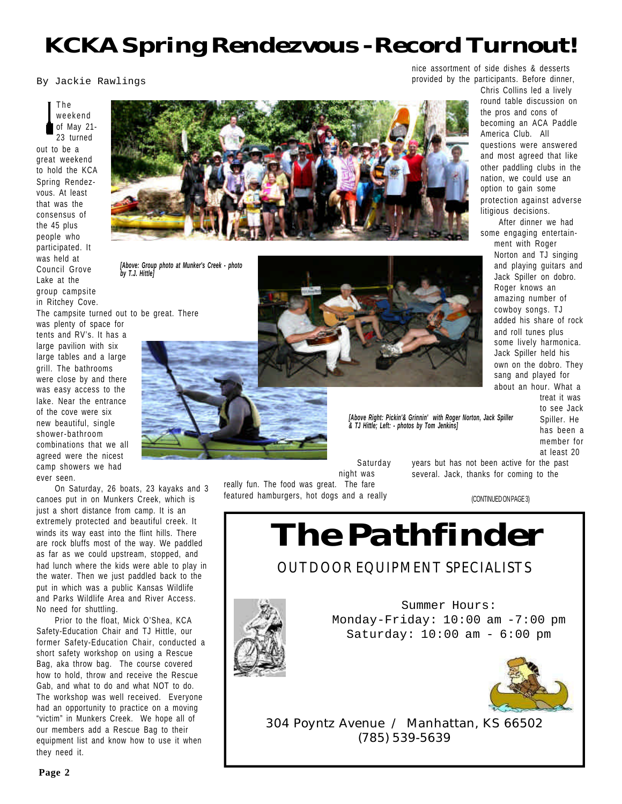### *KCKA Spring Rendezvous - Record Turnout!*

By Jackie Rawlings

#### The weekend of May 21- 23 turned out to be a great weekend to hold the KCA Spring Rendezvous. At least that was the consensus of the 45 plus people who participated. It was held at Council Grove Lake at the group campsite in Ritchey Cove.

The campsite turned out to be great. There

was plenty of space for tents and RV's. It has a large pavilion with six large tables and a large grill. The bathrooms were close by and there was easy access to the lake. Near the entrance of the cove were six new beautiful, single shower-bathroom combinations that we all agreed were the nicest camp showers we had ever seen.

On Saturday, 26 boats, 23 kayaks and 3 canoes put in on Munkers Creek, which is just a short distance from camp. It is an extremely protected and beautiful creek. It winds its way east into the flint hills. There are rock bluffs most of the way. We paddled as far as we could upstream, stopped, and had lunch where the kids were able to play in the water. Then we just paddled back to the put in which was a public Kansas Wildlife and Parks Wildlife Area and River Access. No need for shuttling.

Prior to the float, Mick O'Shea, KCA Safety-Education Chair and TJ Hittle, our former Safety-Education Chair, conducted a short safety workshop on using a Rescue Bag, aka throw bag. The course covered how to hold, throw and receive the Rescue Gab, and what to do and what NOT to do. The workshop was well received. Everyone had an opportunity to practice on a moving "victim" in Munkers Creek. We hope all of our members add a Rescue Bag to their equipment list and know how to use it when they need it.



*[Above: Group photo at Munker's Creek - photo by T.J. Hittle]*



*[Above Right: Pickin'& Grinnin' with Roger Norton, Jack Spiller & TJ Hittle; Left: - photos by Tom Jenkins]*

nice assortment of side dishes & desserts provided by the participants. Before dinner,

> Chris Collins led a lively round table discussion on the pros and cons of becoming an ACA Paddle America Club. All questions were answered and most agreed that like other paddling clubs in the nation, we could use an option to gain some protection against adverse litigious decisions.

> After dinner we had some engaging entertainment with Roger Norton and TJ singing and playing guitars and Jack Spiller on dobro. Roger knows an amazing number of cowboy songs. TJ added his share of rock and roll tunes plus some lively harmonica. Jack Spiller held his own on the dobro. They sang and played for about an hour. What a

treat it was to see Jack Spiller. He has been a member for at least 20

Saturday night was

really fun. The food was great. The fare featured hamburgers, hot dogs and a really years but has not been active for the past several. Jack, thanks for coming to the

(CONTINUED ON PAGE 3)

*The Pathfinder*

#### **OUTDOOR EQUIPMENT SPECIALISTS**



Summer Hours: Monday-Friday: 10:00 am -7:00 pm Saturday: 10:00 am - 6:00 pm



*304 Poyntz Avenue* / Manhattan, KS 66502 *(785) 539-5639*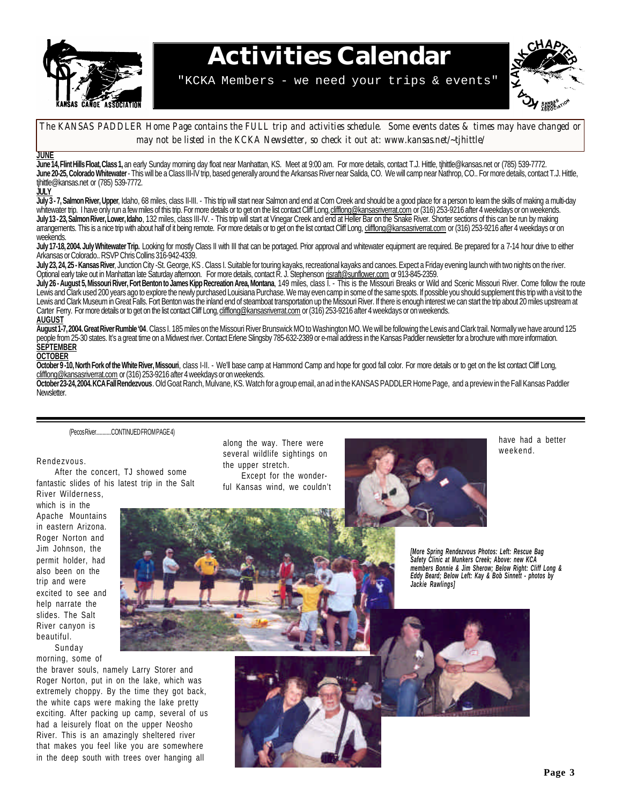

# **Activities Calendar**

"KCKA Members - we need your trips & events"



#### *The KANSAS PADDLER Home Page contains the FULL trip and activities schedule. Some events dates & times may have changed or may not be listed in the KCKA Newsletter, so check it out at: www.kansas.net/~tjhittle/*

#### **JUNE**

June 14, Flint Hills Float, Class 1, an early Sunday morning day float near Manhattan, KS. Meet at 9:00 am. For more details, contact T.J. Hittle, tjhittle@kansas.net or (785) 539-7772. **June 20-25, Colorado Whitewater** - This will be a Class III-IV trip, based generally around the Arkansas River near Salida, CO. We will camp near Nathrop, CO.. For more details, contact T.J. Hittle, tjhittle@kansas.net or (785) 539-7772.

**JULY**

**July 3 - 7, Salmon River, Upper**, Idaho, 68 miles, class II-III. - This trip will start near Salmon and end at Corn Creek and should be a good place for a person to learn the skills of making a multi-day whitewater trip. I have only run a few miles of this trip. For more details or to get on the list contact Cliff Long, <u>clifflong@kansasriverrat.com</u> or (316) 253-9216 after 4 weekdays or on weekends. **July 13 - 23, Salmon River, Lower, Idaho**, 132 miles, class III-IV. - This trip will start at Vinegar Creek and end at Heller Bar on the Snake River. Shorter sections of this can be run by making arrangements. This is a nice trip with about half of it being remote. For more details or to get on the list contact Cliff Long, clifflong@kansasriverrat.com or (316) 253-9216 after 4 weekdays or on weekends.

July 17-18, 2004. July Whitewater Trip. Looking for mostly Class II with III that can be portaged. Prior approval and whitewater equipment are required. Be prepared for a 7-14 hour drive to either Arkansas or Colorado.. RSVP Chris Collins 316-942-4339.

**July 23, 24, 25 - Kansas River**, Junction City -St. George, KS . Class I. Suitable for touring kayaks, recreational kayaks and canoes. Expect a Friday evening launch with two nights on the river. Optional early take out in Manhattan late Saturday afternoon. For more details, contact R. J. Stephenson rjsraft@sunflower.com or 913-845-2359.

**July 26 - August 5, Missouri River, Fort Benton to James Kipp Recreation Area, Montana**, 149 miles, class I. - This is the Missouri Breaks or Wild and Scenic Missouri River. Come follow the route Lewis and Clark used 200 years ago to explore the newly purchased Louisiana Purchase. We may even camp in some of the same spots. If possible you should supplement this trip with a visit to the Lewis and Clark Museum in Great Falls. Fort Benton was the inland end of steamboat transportation up the Missouri River. If there is enough interest we can start the trip about 20 miles upstream at Carter Ferry. For more details or to get on the list contact Cliff Long, clifflong@kansasriverrat.com or (316) 253-9216 after 4 weekdays or on weekends. **AUGUST**

**August 1-7, 2004. Great River Rumble '04**. Class I. 185 miles on the Missouri River Brunswick MO to Washington MO. We will be following the Lewis and Clark trail. Normally we have around 125 people from 25-30 states. It's a great time on a Midwest river. Contact Erlene Slingsby 785-632-2389 or e-mail address in the Kansas Paddler newsletter for a brochure with more information. **SEPTEMBER**

#### **OCTOBER**

**October 9 -10, North Fork of the White River, Missouri**, class I-II. - We'll base camp at Hammond Camp and hope for good fall color. For more details or to get on the list contact Cliff Long, clifflong@kansasriverrat.com or (316) 253-9216 after 4 weekdays or on weekends.

**October 23-24, 2004. KCA Fall Rendezvous**. Old Goat Ranch, Mulvane, KS. Watch for a group email, an ad in the KANSAS PADDLER Home Page, and a preview in the Fall Kansas Paddler Newsletter.

(Pecos River............CONTINUED FROM PAGE 4)

#### Rendezvous.

After the concert, TJ showed some fantastic slides of his latest trip in the Salt River Wilderness,

which is in the Apache Mountains in eastern Arizona. Roger Norton and Jim Johnson, the permit holder, had also been on the trip and were excited to see and help narrate the slides. The Salt River canyon is beautiful. Sunday

morning, some of

the braver souls, namely Larry Storer and Roger Norton, put in on the lake, which was extremely choppy. By the time they got back, the white caps were making the lake pretty exciting. After packing up camp, several of us had a leisurely float on the upper Neosho River. This is an amazingly sheltered river that makes you feel like you are somewhere in the deep south with trees over hanging all

along the way. There were several wildlife sightings on the upper stretch. Except for the wonder-

ful Kansas wind, we couldn't



have had a better weekend.





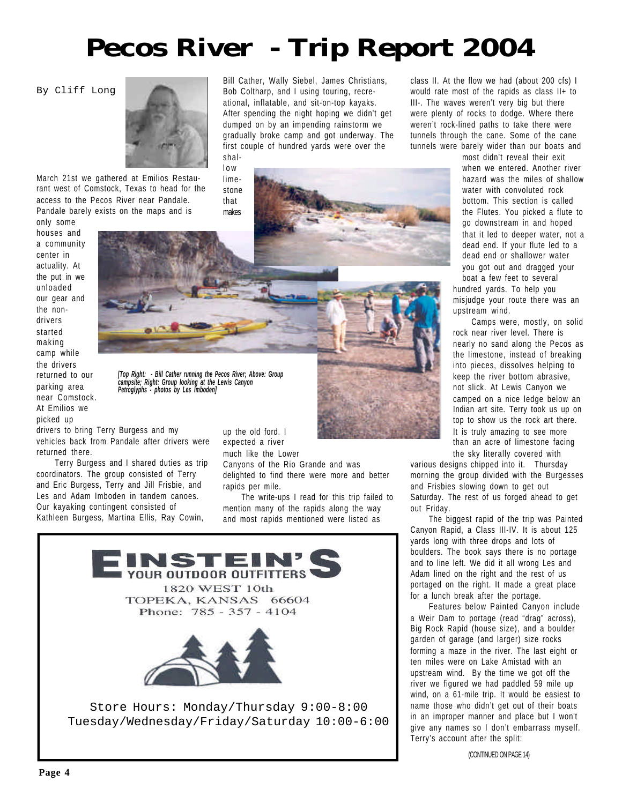# **Pecos River - Trip Report 2004**

Bill Cather, Wally Siebel, James Christians, Bob Coltharp, and I using touring, recreational, inflatable, and sit-on-top kayaks. After spending the night hoping we didn't get dumped on by an impending rainstorm we gradually broke camp and got underway. The first couple of hundred yards were over the

By Cliff Long



March 21st we gathered at Emilios Restaurant west of Comstock, Texas to head for the access to the Pecos River near Pandale. Pandale barely exists on the maps and is

only some houses and a community center in actuality. At the put in we unloaded our gear and the nondrivers started making camp while the drivers returned to our parking area near Comstock. At Emilios we picked up



shallow limestone that

*[Top Right: - Bill Cather running the Pecos River; Above: Group campsite; Right: Group looking at the Lewis Canyon Petroglyphs - photos by Les Imboden]*

drivers to bring Terry Burgess and my vehicles back from Pandale after drivers were returned there.

Terry Burgess and I shared duties as trip coordinators. The group consisted of Terry and Eric Burgess, Terry and Jill Frisbie, and Les and Adam Imboden in tandem canoes. Our kayaking contingent consisted of Kathleen Burgess, Martina Ellis, Ray Cowin,

up the old ford. I expected a river much like the Lower

Canyons of the Rio Grande and was delighted to find there were more and better rapids per mile.

The write-ups I read for this trip failed to mention many of the rapids along the way and most rapids mentioned were listed as



class II. At the flow we had (about 200 cfs) I would rate most of the rapids as class II+ to III-. The waves weren't very big but there were plenty of rocks to dodge. Where there weren't rock-lined paths to take there were tunnels through the cane. Some of the cane tunnels were barely wider than our boats and

> most didn't reveal their exit when we entered. Another river hazard was the miles of shallow water with convoluted rock bottom. This section is called the Flutes. You picked a flute to go downstream in and hoped that it led to deeper water, not a dead end. If your flute led to a dead end or shallower water you got out and dragged your boat a few feet to several

hundred yards. To help you misjudge your route there was an upstream wind.

Camps were, mostly, on solid rock near river level. There is nearly no sand along the Pecos as the limestone, instead of breaking into pieces, dissolves helping to keep the river bottom abrasive, not slick. At Lewis Canyon we camped on a nice ledge below an Indian art site. Terry took us up on top to show us the rock art there. It is truly amazing to see more than an acre of limestone facing the sky literally covered with

various designs chipped into it. Thursday morning the group divided with the Burgesses and Frisbies slowing down to get out Saturday. The rest of us forged ahead to get out Friday.

The biggest rapid of the trip was Painted Canyon Rapid, a Class III-IV. It is about 125 yards long with three drops and lots of boulders. The book says there is no portage and to line left. We did it all wrong Les and Adam lined on the right and the rest of us portaged on the right. It made a great place for a lunch break after the portage.

Features below Painted Canyon include a Weir Dam to portage (read "drag" across), Big Rock Rapid (house size), and a boulder garden of garage (and larger) size rocks forming a maze in the river. The last eight or ten miles were on Lake Amistad with an upstream wind. By the time we got off the river we figured we had paddled 59 mile up wind, on a 61-mile trip. It would be easiest to name those who didn't get out of their boats in an improper manner and place but I won't give any names so I don't embarrass myself. Terry's account after the split:

(CONTINUED ON PAGE 14)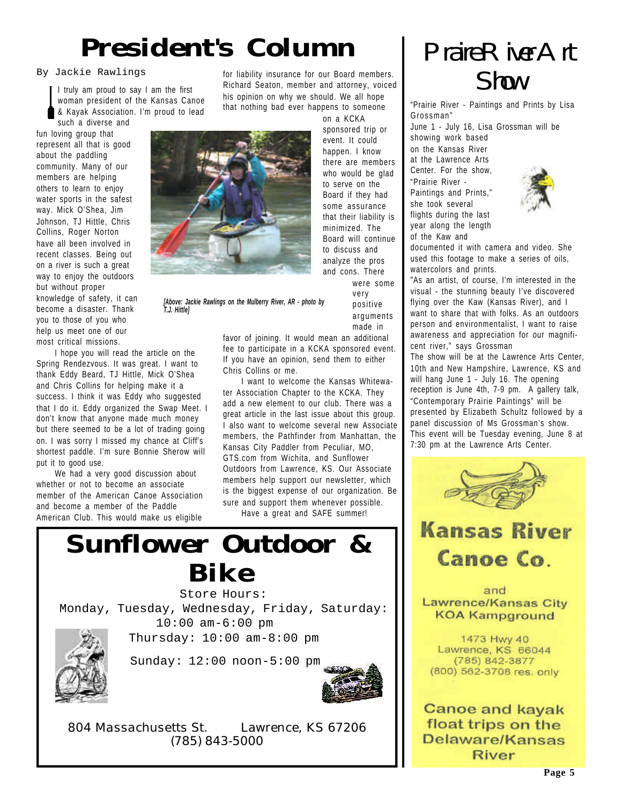# *President's Column*

#### By Jackie Rawlings

woman president of the Kansas Canoe & Kayak Association. I'm proud to lead such a diverse and

fun loving group that represent all that is good about the paddling community. Many of our members are helping others to learn to enjoy water sports in the safest way. Mick O'Shea, Jim Johnson, TJ Hittle, Chris Collins, Roger Norton have all been involved in recent classes. Being out on a river is such a great way to enjoy the outdoors but without proper knowledge of safety, it can become a disaster. Thank you to those of you who help us meet one of our most critical missions.

I hope you will read the article on the Spring Rendezvous. It was great. I want to thank Eddy Beard, TJ Hittle, Mick O'Shea and Chris Collins for helping make it a success. I think it was Eddy who suggested that I do it. Eddy organized the Swap Meet. I don't know that anyone made much money but there seemed to be a lot of trading going on. I was sorry I missed my chance at Cliff's shortest paddle. I'm sure Bonnie Sherow will put it to good use.

We had a very good discussion about whether or not to become an associate member of the American Canoe Association and become a member of the Paddle American Club. This would make us eligible

Fackie Rawlings for liability insurance for our Board members.<br>I truly am proud to say I am the first **Richard Seaton, member and attorney, voiced SMW** for liability insurance for our Board members. his opinion on why we should. We all hope that nothing bad ever happens to someone



on a KCKA sponsored trip or event. It could happen. I know there are members who would be glad to serve on the Board if they had some assurance that their liability is minimized. The Board will continue to discuss and analyze the pros and cons. There were some

> very positive arguments made in

*[Above: Jackie Rawlings on the Mulberry River, AR - photo by T.J. Hittle]*

> favor of joining. It would mean an additional fee to participate in a KCKA sponsored event. If you have an opinion, send them to either Chris Collins or me.

> I want to welcome the Kansas Whitewater Association Chapter to the KCKA. They add a new element to our club. There was a great article in the last issue about this group. I also want to welcome several new Associate members, the Pathfinder from Manhattan, the Kansas City Paddler from Peculiar, MO, GTS.com from Wichita, and Sunflower Outdoors from Lawrence, KS. Our Associate members help support our newsletter, which is the biggest expense of our organization. Be sure and support them whenever possible.

Have a great and SAFE summer!



Store Hours: Monday, Tuesday, Wednesday, Friday, Saturday: 10:00 am-6:00 pm

Thursday: 10:00 am-8:00 pm



Sunday: 12:00 noon-5:00 pm

*804 Massachusetts St.* Lawrence, KS 67206 *(785) 843-5000*



"Prairie River - Paintings and Prints by Lisa Grossman"

June 1 - July 16, Lisa Grossman will be

showing work based on the Kansas River at the Lawrence Arts Center. For the show, "Prairie River - Paintings and Prints," she took several flights during the last year along the length of the Kaw and



documented it with camera and video. She used this footage to make a series of oils, watercolors and prints.

"As an artist, of course, I'm interested in the visual - the stunning beauty I've discovered flying over the Kaw (Kansas River), and I want to share that with folks. As an outdoors person and environmentalist, I want to raise awareness and appreciation for our magnificent river," says Grossman

The show will be at the Lawrence Arts Center, 10th and New Hampshire, Lawrence, KS and will hang June 1 - July 16. The opening reception is June 4th, 7-9 pm. A gallery talk, "Contemporary Prairie Paintings" will be presented by Elizabeth Schultz followed by a panel discussion of Ms Grossman's show. This event will be Tuesday evening, June 8 at 7:30 pm at the Lawrence Arts Center.

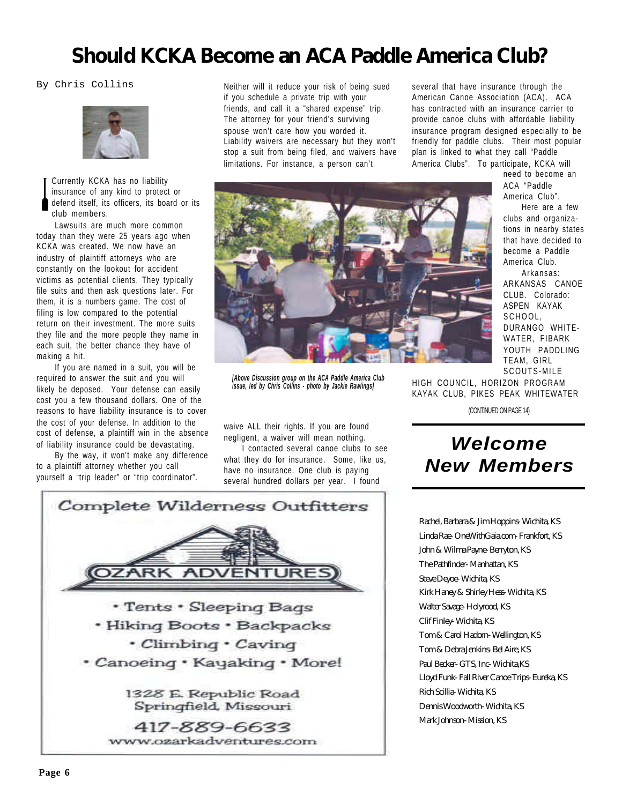### **Should KCKA Become an ACA Paddle America Club?**

By Chris Collins



Currently KCKA has no liability insurance of any kind to protect or defend itself, its officers, its board or its club members.

Lawsuits are much more common today than they were 25 years ago when KCKA was created. We now have an industry of plaintiff attorneys who are constantly on the lookout for accident victims as potential clients. They typically file suits and then ask questions later. For them, it is a numbers game. The cost of filing is low compared to the potential return on their investment. The more suits they file and the more people they name in each suit, the better chance they have of making a hit.

If you are named in a suit, you will be required to answer the suit and you will likely be deposed. Your defense can easily cost you a few thousand dollars. One of the reasons to have liability insurance is to cover the cost of your defense. In addition to the cost of defense, a plaintiff win in the absence of liability insurance could be devastating.

By the way, it won't make any difference to a plaintiff attorney whether you call yourself a "trip leader" or "trip coordinator".

Neither will it reduce your risk of being sued if you schedule a private trip with your friends, and call it a "shared expense" trip. The attorney for your friend's surviving spouse won't care how you worded it. Liability waivers are necessary but they won't stop a suit from being filed, and waivers have limitations. For instance, a person can't

several that have insurance through the American Canoe Association (ACA). ACA has contracted with an insurance carrier to provide canoe clubs with affordable liability insurance program designed especially to be friendly for paddle clubs. Their most popular plan is linked to what they call "Paddle America Clubs". To participate, KCKA will



*[Above Discussion group on the ACA Paddle America Club issue, led by Chris Collins - photo by Jackie Rawlings]*

waive ALL their rights. If you are found negligent, a waiver will mean nothing.

I contacted several canoe clubs to see what they do for insurance. Some, like us, have no insurance. One club is paying several hundred dollars per year. I found

ACA "Paddle America Club". Here are a few clubs and organizations in nearby states that have decided to become a Paddle America Club. Arkansas: ARKANSAS CANOE CLUB. Colorado: ASPEN KAYAK SCHOOL, DURANGO WHITE-WATER, FIBARK YOUTH PADDLING TEAM, GIRL SCOUTS-MILE

need to become an

HIGH COUNCIL, HORIZON PROGRAM KAYAK CLUB, PIKES PEAK WHITEWATER

(CONTINUED ON PAGE 14)

### *Welcome New Members*

Rachel, Barbara & Jim Hoppins- Wichita, KS Linda Rae- OneWithGaia.com- Frankfort, KS John & Wilma Payne- Berryton, KS The Pathfinder- Manhattan, KS Steve Deyoe- Wichita, KS Kirk Haney & Shirley Hess- Wichita, KS Walter Savage- Holyrood, KS Clif Finley- Wichita, KS Tom & Carol Hadorn- Wellington, KS Tom & Debra Jenkins- Bel Aire, KS Paul Becker- GTS, Inc- Wichita,KS Lloyd Funk- Fall River Canoe Trips- Eureka, KS Rich Scillia- Wichita, KS Dennis Woodworth- Wichita, KS Mark Johnson- Mission, KS

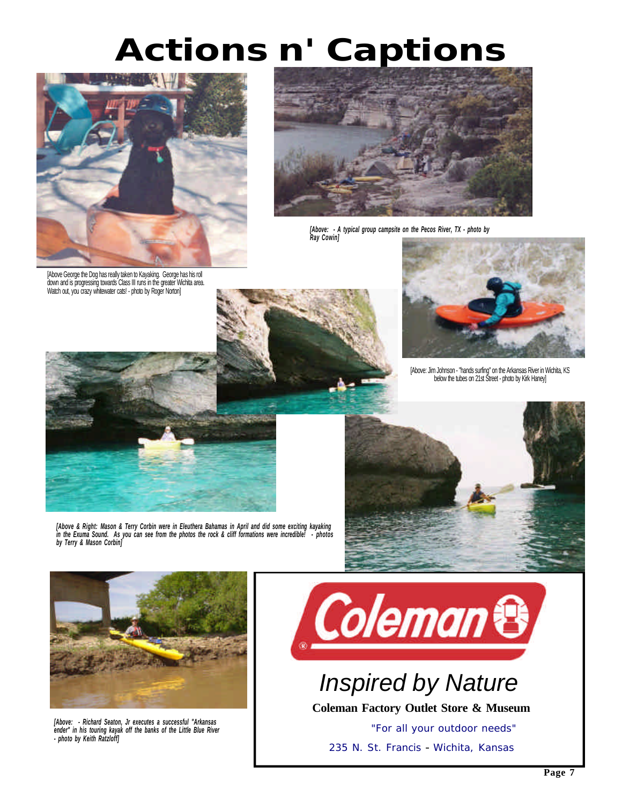# *Actions n' Captions*



[Above George the Dog has really taken to Kayaking. George has his roll down and is progressing towards Class III runs in the greater Wichita area. Watch out, you crazy whitewater cats! - photo by Roger Norton]



*[Above: - A typical group campsite on the Pecos River, TX - photo by Ray Cowin]*





[Above: Jim Johnson - "hands surfing" on the Arkansas River in Wichita, KS below the tubes on 21st Street - photo by Kirk Haney]



*[Above & Right: Mason & Terry Corbin were in Eleuthera Bahamas in April and did some exciting kayaking in the Exuma Sound. As you can see from the photos the rock & cliff formations were incredible! - photos by Terry & Mason Corbin]*





*[Above: - Richard Seaton, Jr executes a successful "Arkansas ender" in his touring kayak off the banks of the Little Blue River - photo by Keith Ratzloff]*



*Inspired by Nature*

**Coleman Factory Outlet Store & Museum**

 *"For all your outdoor needs"* 235 N. St. Francis - Wichita, Kansas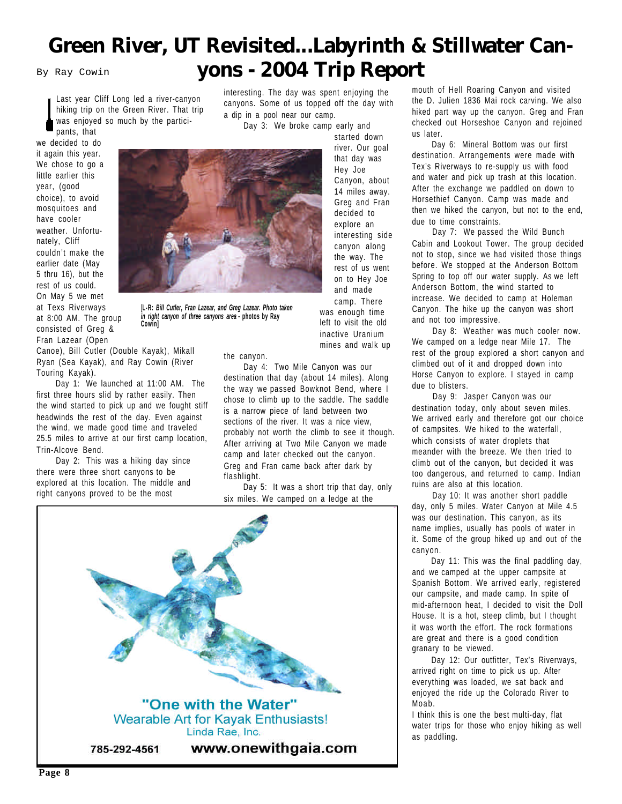### **Green River, UT Revisited...Labyrinth & Stillwater Can-**By Ray Cowin **yons - 2004 Trip Report**

Last year Cliff Long led a river-canyon hiking trip on the Green River. That trip was enjoyed so much by the partici-

pants, that we decided to do it again this year. We chose to go a little earlier this year, (good choice), to avoid mosquitoes and have cooler weather. Unfortunately, Cliff couldn't make the earlier date (May 5 thru 16), but the rest of us could. On May 5 we met at Texs Riverways

at 8:00 AM. The group consisted of Greg & Fran Lazear (Open

Canoe), Bill Cutler (Double Kayak), Mikall Ryan (Sea Kayak), and Ray Cowin (River Touring Kayak).

**Cowin]**

 Day 1: We launched at 11:00 AM. The first three hours slid by rather easily. Then the wind started to pick up and we fought stiff headwinds the rest of the day. Even against the wind, we made good time and traveled 25.5 miles to arrive at our first camp location, Trin-Alcove Bend.

 Day 2: This was a hiking day since there were three short canyons to be explored at this location. The middle and right canyons proved to be the most

interesting. The day was spent enjoying the canyons. Some of us topped off the day with a dip in a pool near our camp.

 Day 3: We broke camp early and started down

river. Our goal that day was Hey Joe Canyon, about 14 miles away. Greg and Fran decided to explore an interesting side canyon along the way. The rest of us went on to Hey Joe and made

[**L-R:** *Bill Cutler, Fran Lazear, and Greg Lazear. Photo taken in right canyon of three canyons area* **- photos by Ray** camp. There was enough time left to visit the old inactive Uranium

the canyon.

 Day 4: Two Mile Canyon was our destination that day (about 14 miles). Along the way we passed Bowknot Bend, where I chose to climb up to the saddle. The saddle is a narrow piece of land between two sections of the river. It was a nice view, probably not worth the climb to see it though. After arriving at Two Mile Canyon we made camp and later checked out the canyon. Greg and Fran came back after dark by flashlight.

mines and walk up

 Day 5: It was a short trip that day, only six miles. We camped on a ledge at the



mouth of Hell Roaring Canyon and visited the D. Julien 1836 Mai rock carving. We also hiked part way up the canyon. Greg and Fran checked out Horseshoe Canyon and rejoined us later.

 Day 6: Mineral Bottom was our first destination. Arrangements were made with Tex's Riverways to re-supply us with food and water and pick up trash at this location. After the exchange we paddled on down to Horsethief Canyon. Camp was made and then we hiked the canyon, but not to the end, due to time constraints.

 Day 7: We passed the Wild Bunch Cabin and Lookout Tower. The group decided not to stop, since we had visited those things before. We stopped at the Anderson Bottom Spring to top off our water supply. As we left Anderson Bottom, the wind started to increase. We decided to camp at Holeman Canyon. The hike up the canyon was short and not too impressive.

 Day 8: Weather was much cooler now. We camped on a ledge near Mile 17. The rest of the group explored a short canyon and climbed out of it and dropped down into Horse Canyon to explore. I stayed in camp due to blisters.

 Day 9: Jasper Canyon was our destination today, only about seven miles. We arrived early and therefore got our choice of campsites. We hiked to the waterfall, which consists of water droplets that meander with the breeze. We then tried to climb out of the canyon, but decided it was too dangerous, and returned to camp. Indian ruins are also at this location.

 Day 10: It was another short paddle day, only 5 miles. Water Canyon at Mile 4.5 was our destination. This canyon, as its name implies, usually has pools of water in it. Some of the group hiked up and out of the canyon.

 Day 11: This was the final paddling day, and we camped at the upper campsite at Spanish Bottom. We arrived early, registered our campsite, and made camp. In spite of mid-afternoon heat, I decided to visit the Doll House. It is a hot, steep climb, but I thought it was worth the effort. The rock formations are great and there is a good condition granary to be viewed.

 Day 12: Our outfitter, Tex's Riverways, arrived right on time to pick us up. After everything was loaded, we sat back and enjoyed the ride up the Colorado River to Moab.

I think this is one the best multi-day, flat water trips for those who enjoy hiking as well as paddling.

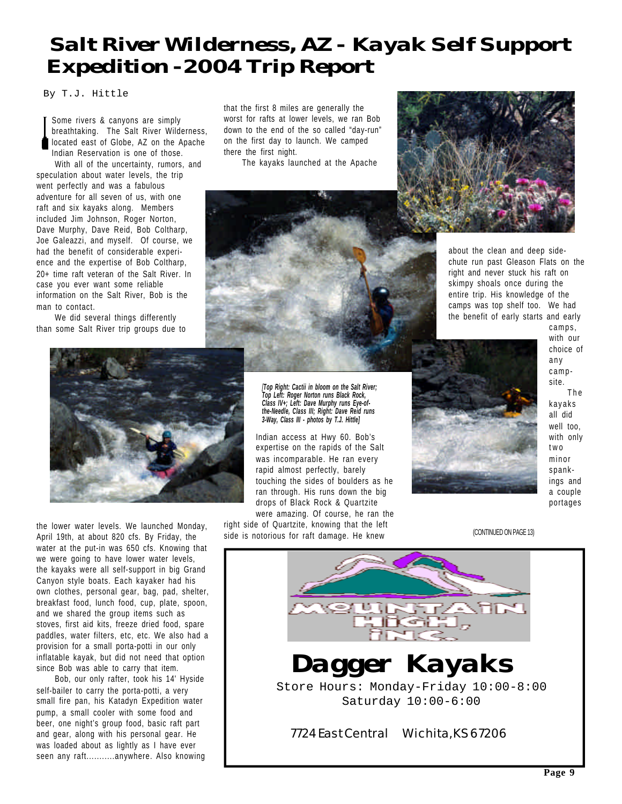### *Salt River Wilderness, AZ - Kayak Self Support Expedition - 2004 Trip Report*

By T.J. Hittle

Some rivers & canyons are simply breathtaking. The Salt River Wilderness, located east of Globe, AZ on the Apache Indian Reservation is one of those.

With all of the uncertainty, rumors, and speculation about water levels, the trip went perfectly and was a fabulous adventure for all seven of us, with one raft and six kayaks along. Members included Jim Johnson, Roger Norton, Dave Murphy, Dave Reid, Bob Coltharp, Joe Galeazzi, and myself. Of course, we had the benefit of considerable experience and the expertise of Bob Coltharp, 20+ time raft veteran of the Salt River. In case you ever want some reliable information on the Salt River, Bob is the man to contact.

We did several things differently than some Salt River trip groups due to

that the first 8 miles are generally the worst for rafts at lower levels, we ran Bob down to the end of the so called "day-run" on the first day to launch. We camped there the first night.

The kayaks launched at the Apache



about the clean and deep sidechute run past Gleason Flats on the right and never stuck his raft on skimpy shoals once during the entire trip. His knowledge of the camps was top shelf too. We had the benefit of early starts and early



the lower water levels. We launched Monday, April 19th, at about 820 cfs. By Friday, the water at the put-in was 650 cfs. Knowing that we were going to have lower water levels, the kayaks were all self-support in big Grand Canyon style boats. Each kayaker had his own clothes, personal gear, bag, pad, shelter, breakfast food, lunch food, cup, plate, spoon, and we shared the group items such as stoves, first aid kits, freeze dried food, spare paddles, water filters, etc, etc. We also had a provision for a small porta-potti in our only inflatable kayak, but did not need that option since Bob was able to carry that item.

Bob, our only rafter, took his 14' Hyside self-bailer to carry the porta-potti, a very small fire pan, his Katadyn Expedition water pump, a small cooler with some food and beer, one night's group food, basic raft part and gear, along with his personal gear. He was loaded about as lightly as I have ever seen any raft...........anywhere. Also knowing

*[Top Right: Cactii in bloom on the Salt River; Top Left: Roger Norton runs Black Rock, Class IV+; Left: Dave Murphy runs Eye-ofthe-Needle, Class III; Right: Dave Reid runs 3-Way, Class III - photos by T.J. Hittle]*

Indian access at Hwy 60. Bob's expertise on the rapids of the Salt was incomparable. He ran every rapid almost perfectly, barely touching the sides of boulders as he ran through. His runs down the big drops of Black Rock & Quartzite

were amazing. Of course, he ran the right side of Quartzite, knowing that the left side is notorious for raft damage. He knew



camps, with our choice of any campsite. The kayaks all did well too, with only two minor spankings and a couple portages

(CONTINUED ON PAGE 13)

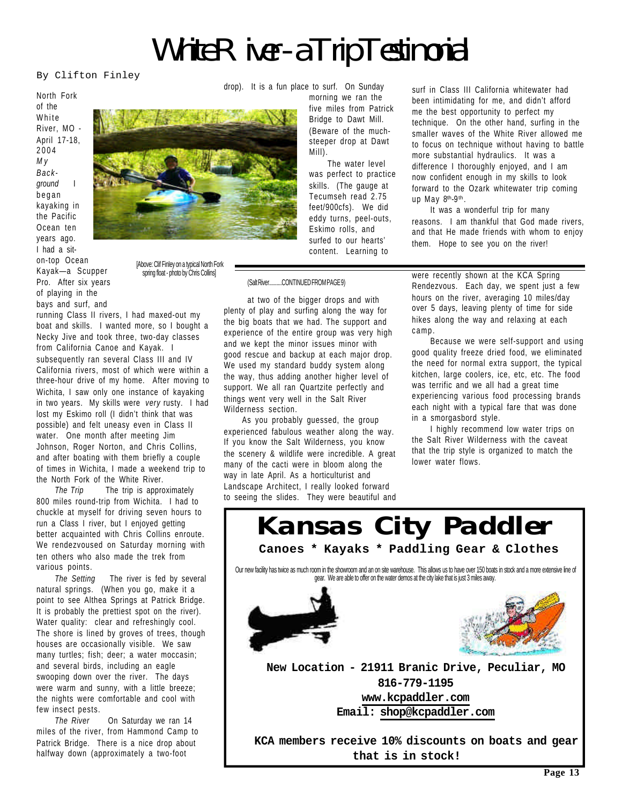*White River - a Trip Testimonial*

By Clifton Finley

North Fork of the White River, MO - April 17-18, 2004 *M y Background* I began kayaking in the Pacific Ocean ten years ago. I had a siton-top Ocean Kayak—a Scupper Pro. After six years of playing in the



[Above: Clif Finley on a typical North Fork spring float - photo by Chris Collins]

bays and surf, and running Class II rivers, I had maxed-out my boat and skills. I wanted more, so I bought a Necky Jive and took three, two-day classes from California Canoe and Kayak. I subsequently ran several Class III and IV California rivers, most of which were within a three-hour drive of my home. After moving to Wichita, I saw only one instance of kayaking in two years. My skills were *very* rusty. I had lost my Eskimo roll (I didn't think that was possible) and felt uneasy even in Class II water. One month after meeting Jim Johnson, Roger Norton, and Chris Collins, and after boating with them briefly a couple of times in Wichita, I made a weekend trip to the North Fork of the White River.

*The Trip* The trip is approximately 800 miles round-trip from Wichita. I had to chuckle at myself for driving seven hours to run a Class I river, but I enjoyed getting better acquainted with Chris Collins enroute. We rendezvoused on Saturday morning with ten others who also made the trek from various points.

*The Setting* The river is fed by several natural springs. (When you go, make it a point to see Althea Springs at Patrick Bridge. It is probably the prettiest spot on the river). Water quality: clear and refreshingly cool. The shore is lined by groves of trees, though houses are occasionally visible. We saw many turtles; fish; deer; a water moccasin; and several birds, including an eagle swooping down over the river. The days were warm and sunny, with a little breeze; the nights were comfortable and cool with few insect pests.

*The River* On Saturday we ran 14 miles of the river, from Hammond Camp to Patrick Bridge. There is a nice drop about halfway down (approximately a two-foot

drop). It is a fun place to surf. On Sunday

morning we ran the five miles from Patrick Bridge to Dawt Mill. (Beware of the muchsteeper drop at Dawt Mill).

The water level was perfect to practice skills. (The gauge at Tecumseh read 2.75 feet/900cfs). We did eddy turns, peel-outs, Eskimo rolls, and surfed to our hearts' content. Learning to

(Salt River..........CONTINUED FROM PAGE 9)

at two of the bigger drops and with plenty of play and surfing along the way for the big boats that we had. The support and experience of the entire group was very high and we kept the minor issues minor with good rescue and backup at each major drop. We used my standard buddy system along the way, thus adding another higher level of support. We all ran Quartzite perfectly and things went very well in the Salt River Wilderness section.

As you probably guessed, the group experienced fabulous weather along the way. If you know the Salt Wilderness, you know the scenery & wildlife were incredible. A great many of the cacti were in bloom along the way in late April. As a horticulturist and Landscape Architect, I really looked forward to seeing the slides. They were beautiful and surf in Class III California whitewater had been intimidating for me, and didn't afford me the best opportunity to perfect my technique. On the other hand, surfing in the smaller waves of the White River allowed me to focus on technique without having to battle more substantial hydraulics. It was a difference I thoroughly enjoyed, and I am now confident enough in my skills to look forward to the Ozark whitewater trip coming up May 8th-9th .

It was a wonderful trip for many reasons. I am thankful that God made rivers, and that He made friends with whom to enjoy them. Hope to see you on the river!

were recently shown at the KCA Spring Rendezvous. Each day, we spent just a few hours on the river, averaging 10 miles/day over 5 days, leaving plenty of time for side hikes along the way and relaxing at each camp.

Because we were self-support and using good quality freeze dried food, we eliminated the need for normal extra support, the typical kitchen, large coolers, ice, etc, etc. The food was terrific and we all had a great time experiencing various food processing brands each night with a typical fare that was done in a smorgasbord style.

I highly recommend low water trips on the Salt River Wilderness with the caveat that the trip style is organized to match the lower water flows.

**New Location - 21911 Branic Drive, Peculiar, MO 816-779-1195 www.kcpaddler.com Email: shop@kcpaddler.com KCA members receive 10% discounts on boats and gear** *Kansas City Paddler* Our new facility has twice as much room in the showroom and an on site warehouse. This allows us to have over 150 boats in stock and a more extensive line of gear. We are able to offer on the water demos at the city lake that is just 3 miles away. **Canoes \* Kayaks \* Paddling Gear & Clothes**

**that is in stock!**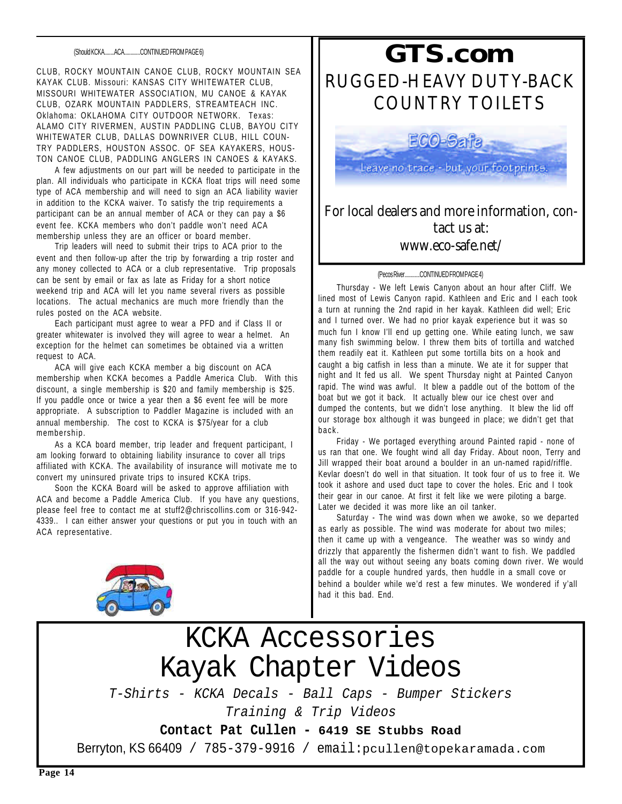CLUB, ROCKY MOUNTAIN CANOE CLUB, ROCKY MOUNTAIN SEA KAYAK CLUB. Missouri: KANSAS CITY WHITEWATER CLUB, MISSOURI WHITEWATER ASSOCIATION, MU CANOE & KAYAK CLUB, OZARK MOUNTAIN PADDLERS, STREAMTEACH INC. Oklahoma: OKLAHOMA CITY OUTDOOR NETWORK. Texas: ALAMO CITY RIVERMEN, AUSTIN PADDLING CLUB, BAYOU CITY WHITEWATER CLUB, DALLAS DOWNRIVER CLUB, HILL COUN-TRY PADDLERS, HOUSTON ASSOC. OF SEA KAYAKERS, HOUS-TON CANOE CLUB, PADDLING ANGLERS IN CANOES & KAYAKS.

A few adjustments on our part will be needed to participate in the plan. All individuals who participate in KCKA float trips will need some type of ACA membership and will need to sign an ACA liability wavier in addition to the KCKA waiver. To satisfy the trip requirements a participant can be an annual member of ACA or they can pay a \$6 event fee. KCKA members who don't paddle won't need ACA membership unless they are an officer or board member.

Trip leaders will need to submit their trips to ACA prior to the event and then follow-up after the trip by forwarding a trip roster and any money collected to ACA or a club representative. Trip proposals can be sent by email or fax as late as Friday for a short notice weekend trip and ACA will let you name several rivers as possible locations. The actual mechanics are much more friendly than the rules posted on the ACA website.

Each participant must agree to wear a PFD and if Class II or greater whitewater is involved they will agree to wear a helmet. An exception for the helmet can sometimes be obtained via a written request to ACA.

ACA will give each KCKA member a big discount on ACA membership when KCKA becomes a Paddle America Club. With this discount, a single membership is \$20 and family membership is \$25. If you paddle once or twice a year then a \$6 event fee will be more appropriate. A subscription to Paddler Magazine is included with an annual membership. The cost to KCKA is \$75/year for a club membership.

As a KCA board member, trip leader and frequent participant, I am looking forward to obtaining liability insurance to cover all trips affiliated with KCKA. The availability of insurance will motivate me to convert my uninsured private trips to insured KCKA trips.

Soon the KCKA Board will be asked to approve affiliation with ACA and become a Paddle America Club. If you have any questions, please feel free to contact me at stuff2@chriscollins.com or 316-942- 4339.. I can either answer your questions or put you in touch with an ACA representative.



## **RUGGED-HEAVY DUTY-BACK COUNTRY TOILETS** *GTS.com*

Leave no trace - but your footprints.

#### **For local dealers and more information, contact us at: www.eco-safe.net/**

#### (Pecos River............CONTINUED FROM PAGE 4)

Thursday - We left Lewis Canyon about an hour after Cliff. We lined most of Lewis Canyon rapid. Kathleen and Eric and I each took a turn at running the 2nd rapid in her kayak. Kathleen did well; Eric and I turned over. We had no prior kayak experience but it was so much fun I know I'll end up getting one. While eating lunch, we saw many fish swimming below. I threw them bits of tortilla and watched them readily eat it. Kathleen put some tortilla bits on a hook and caught a big catfish in less than a minute. We ate it for supper that night and It fed us all. We spent Thursday night at Painted Canyon rapid. The wind was awful. It blew a paddle out of the bottom of the boat but we got it back. It actually blew our ice chest over and dumped the contents, but we didn't lose anything. It blew the lid off our storage box although it was bungeed in place; we didn't get that back.

Friday - We portaged everything around Painted rapid - none of us ran that one. We fought wind all day Friday. About noon, Terry and Jill wrapped their boat around a boulder in an un-named rapid/riffle. Kevlar doesn't do well in that situation. It took four of us to free it. We took it ashore and used duct tape to cover the holes. Eric and I took their gear in our canoe. At first it felt like we were piloting a barge. Later we decided it was more like an oil tanker.

Saturday - The wind was down when we awoke, so we departed as early as possible. The wind was moderate for about two miles; then it came up with a vengeance. The weather was so windy and drizzly that apparently the fishermen didn't want to fish. We paddled all the way out without seeing any boats coming down river. We would paddle for a couple hundred yards, then huddle in a small cove or behind a boulder while we'd rest a few minutes. We wondered if y'all had it this bad. End.

### KCKA Accessories Kayak Chapter Videos *T-Shirts - KCKA Decals - Ball Caps - Bumper Stickers Training & Trip Videos*

**Contact Pat Cullen - 6419 SE Stubbs Road**

Berryton, KS 66409 / 785-379-9916 / email:pcullen@topekaramada.com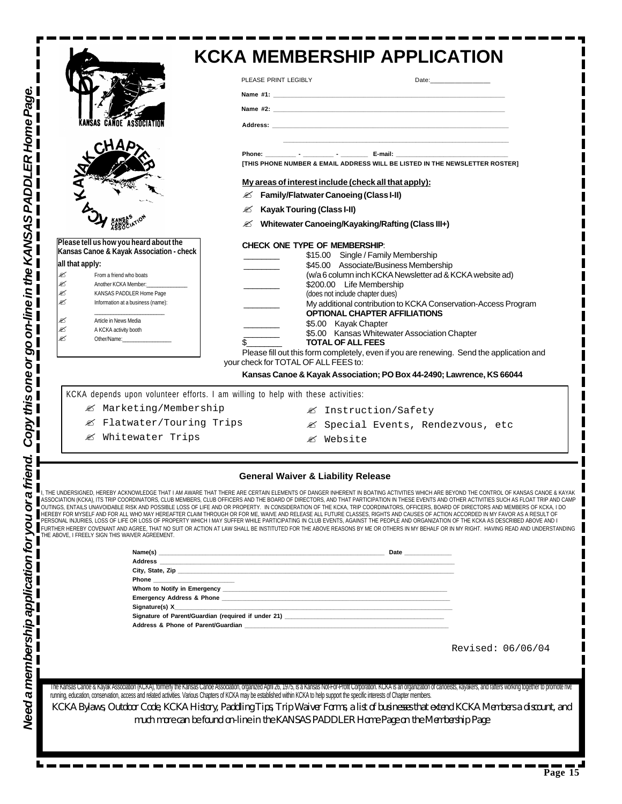| Page                                                                                                                                                                                                                                                                                                                                                                      | <b>KCKA MEMBERSHIP APPLICATION</b><br>PLEASE PRINT LEGIBLY                                                                                                                                                                                                                                                                                                                                                                                                                                                                                                                                                                                                               |
|---------------------------------------------------------------------------------------------------------------------------------------------------------------------------------------------------------------------------------------------------------------------------------------------------------------------------------------------------------------------------|--------------------------------------------------------------------------------------------------------------------------------------------------------------------------------------------------------------------------------------------------------------------------------------------------------------------------------------------------------------------------------------------------------------------------------------------------------------------------------------------------------------------------------------------------------------------------------------------------------------------------------------------------------------------------|
| Home<br><b>CANDE ASSOCIATION</b><br>PADDLER<br>$\boldsymbol{\mathsf{c}}$                                                                                                                                                                                                                                                                                                  | ITHIS PHONE NUMBER & EMAIL ADDRESS WILL BE LISTED IN THE NEWSLETTER ROSTER1<br>My areas of interest include (check all that apply):<br><b>EX</b> Family/Flatwater Canoeing (Class I-II)<br><b>Kayak Touring (Class I-II)</b><br>✍<br><b>Ø Whitewater Canoeing/Kayaking/Rafting (Class III+)</b>                                                                                                                                                                                                                                                                                                                                                                          |
| Copy this one or go on-line in the KANSA<br>Please tell us how you heard about the<br>Kansas Canoe & Kayak Association - check<br>all that apply:<br>€<br>From a friend who boats<br>ø<br>Another KCKA Member:<br>≤<br>KANSAS PADDLER Home Page<br>≤<br>Information at a business (name):<br>≤<br>Article in News Media<br>≤<br>A KCKA activity booth<br>ø<br>Other/Name: | <b>CHECK ONE TYPE OF MEMBERSHIP:</b><br>\$15.00 Single / Family Membership<br>\$45.00 Associate/Business Membership<br>(w/a 6 column inch KCKA Newsletter ad & KCKA website ad)<br>\$200.00 Life Membership<br>(does not include chapter dues)<br>My additional contribution to KCKA Conservation-Access Program<br><b>OPTIONAL CHAPTER AFFILIATIONS</b><br>\$5.00 Kayak Chapter<br>\$5.00 Kansas Whitewater Association Chapter<br><b>TOTAL OF ALL FEES</b><br>Please fill out this form completely, even if you are renewing. Send the application and<br>your check for TOTAL OF ALL FEES to:<br>Kansas Canoe & Kayak Association; PO Box 44-2490; Lawrence, KS 66044 |
| ■ Marketing/Membership<br>■ Flatwater/Touring Trips<br>& Whitewater Trips                                                                                                                                                                                                                                                                                                 | KCKA depends upon volunteer efforts. I am willing to help with these activities:<br>■ Instruction/Safety<br>≰ Special Events, Rendezvous, etc<br><b>Ø</b> Website                                                                                                                                                                                                                                                                                                                                                                                                                                                                                                        |
| friend.<br>ð<br>THE ABOVE, I FREELY SIGN THIS WAIVER AGREEMENT.                                                                                                                                                                                                                                                                                                           | <b>General Waiver &amp; Liability Release</b><br>I, THE UNDERSIGNED, HEREBY ACKNOWLEDGE THAT I AM AWARE THAT THERE ARE CERTAIN ELEMENTS OF DANGER INHERENT IN BOATING ACTIVITIES WHICH ARE BEYOND THE CONTROL OF KANSAS CANOE & KAYAK<br>ASSOCIATION (KCKA), ITS TRIP COORDINATORS                                                                                                                                                                                                                                                                                                                                                                                       |
| Need a membership application for you                                                                                                                                                                                                                                                                                                                                     |                                                                                                                                                                                                                                                                                                                                                                                                                                                                                                                                                                                                                                                                          |
|                                                                                                                                                                                                                                                                                                                                                                           | Revised: 06/06/04                                                                                                                                                                                                                                                                                                                                                                                                                                                                                                                                                                                                                                                        |
|                                                                                                                                                                                                                                                                                                                                                                           | The Kansas Canoe & Kayak Association (KCKA), formerly the Kansas Canoe Association, organized April 26, 1975, is a Kansas Not-For-Prolit Corporation. KCKA is an organization of canoeists, kayakers, and rafters working toge<br>running, education, conservation, access and related activities. Various Chapters of KCKA may be established within KCKA to help support the specific interests of Chapter members.<br>KCKA Bylaws, Outdoor Code, KCKA History, Paddling Tips, Trip Waiver Forms, a list of businesses that extend KCKA Members a discount, and<br>much more can be found on-line in the KANSAS PADDLER Home Page on the Membership Page               |